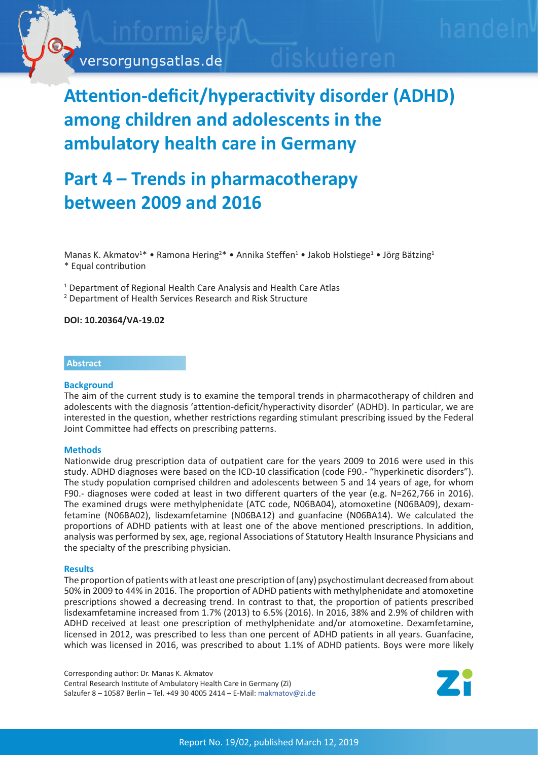

# **Attention-deficit/hyperactivity disorder (ADHD) among children and adolescents in the ambulatory health care in Germany**

## **Part 4 – Trends in pharmacotherapy between 2009 and 2016**

Manas K. Akmatov<sup>1\*</sup> • Ramona Hering<sup>2\*</sup> • Annika Steffen<sup>1</sup> • Jakob Holstiege<sup>1</sup> • Jörg Bätzing<sup>1</sup> \* Equal contribution

<sup>1</sup> Department of Regional Health Care Analysis and Health Care Atlas

2 Department of Health Services Research and Risk Structure

**DOI: 10.20364/VA-19.02**

### **Abstract**

#### **Background**

The aim of the current study is to examine the temporal trends in pharmacotherapy of children and adolescents with the diagnosis 'attention-deficit/hyperactivity disorder' (ADHD). In particular, we are interested in the question, whether restrictions regarding stimulant prescribing issued by the Federal Joint Committee had effects on prescribing patterns.

#### **Methods**

Nationwide drug prescription data of outpatient care for the years 2009 to 2016 were used in this study. ADHD diagnoses were based on the ICD-10 classification (code F90.- "hyperkinetic disorders"). The study population comprised children and adolescents between 5 and 14 years of age, for whom F90.- diagnoses were coded at least in two different quarters of the year (e.g. N=262,766 in 2016). The examined drugs were methylphenidate (ATC code, N06BA04), atomoxetine (N06BA09), dexamfetamine (N06BA02), lisdexamfetamine (N06BA12) and guanfacine (N06BA14). We calculated the proportions of ADHD patients with at least one of the above mentioned prescriptions. In addition, analysis was performed by sex, age, regional Associations of Statutory Health Insurance Physicians and the specialty of the prescribing physician.

#### **Results**

The proportion of patients with at least one prescription of (any) psychostimulant decreased from about 50% in 2009 to 44% in 2016. The proportion of ADHD patients with methylphenidate and atomoxetine prescriptions showed a decreasing trend. In contrast to that, the proportion of patients prescribed lisdexamfetamine increased from 1.7% (2013) to 6.5% (2016). In 2016, 38% and 2.9% of children with ADHD received at least one prescription of methylphenidate and/or atomoxetine. Dexamfetamine, licensed in 2012, was prescribed to less than one percent of ADHD patients in all years. Guanfacine, which was licensed in 2016, was prescribed to about 1.1% of ADHD patients. Boys were more likely

Corresponding author: Dr. Manas K. Akmatov Central Research Institute of Ambulatory Health Care in Germany (Zi) Salzufer 8 – 10587 Berlin – Tel. +49 30 4005 2414 – E-Mail: [makmatov@zi.de](mailto:makmatov%40zi.de?subject=Versorgungsatlas-Bericht%2019/02%20ADHS%20Teil%204)